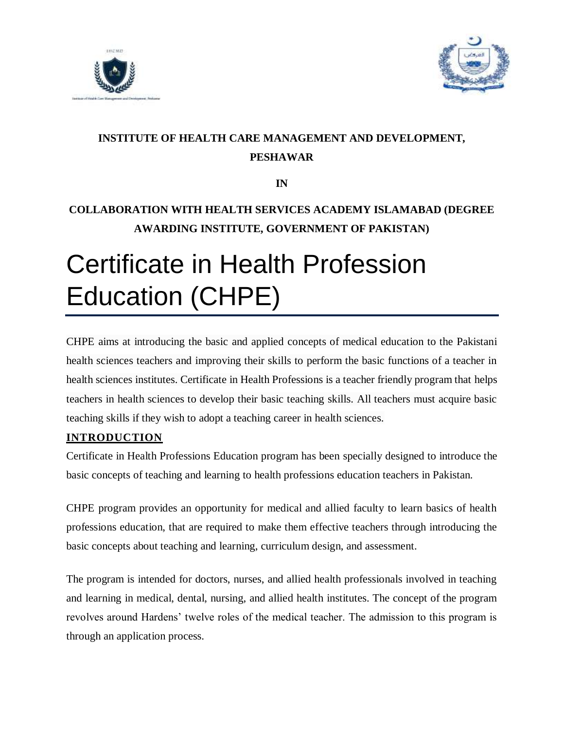



# **INSTITUTE OF HEALTH CARE MANAGEMENT AND DEVELOPMENT, PESHAWAR**

**IN**

## **COLLABORATION WITH HEALTH SERVICES ACADEMY ISLAMABAD (DEGREE AWARDING INSTITUTE, GOVERNMENT OF PAKISTAN)**

# Certificate in Health Profession Education (CHPE)

CHPE aims at introducing the basic and applied concepts of medical education to the Pakistani health sciences teachers and improving their skills to perform the basic functions of a teacher in health sciences institutes. Certificate in Health Professions is a teacher friendly program that helps teachers in health sciences to develop their basic teaching skills. All teachers must acquire basic teaching skills if they wish to adopt a teaching career in health sciences.

#### **INTRODUCTION**

Certificate in Health Professions Education program has been specially designed to introduce the basic concepts of teaching and learning to health professions education teachers in Pakistan.

CHPE program provides an opportunity for medical and allied faculty to learn basics of health professions education, that are required to make them effective teachers through introducing the basic concepts about teaching and learning, curriculum design, and assessment.

The program is intended for doctors, nurses, and allied health professionals involved in teaching and learning in medical, dental, nursing, and allied health institutes. The concept of the program revolves around Hardens' twelve roles of the medical teacher. The admission to this program is through an application process.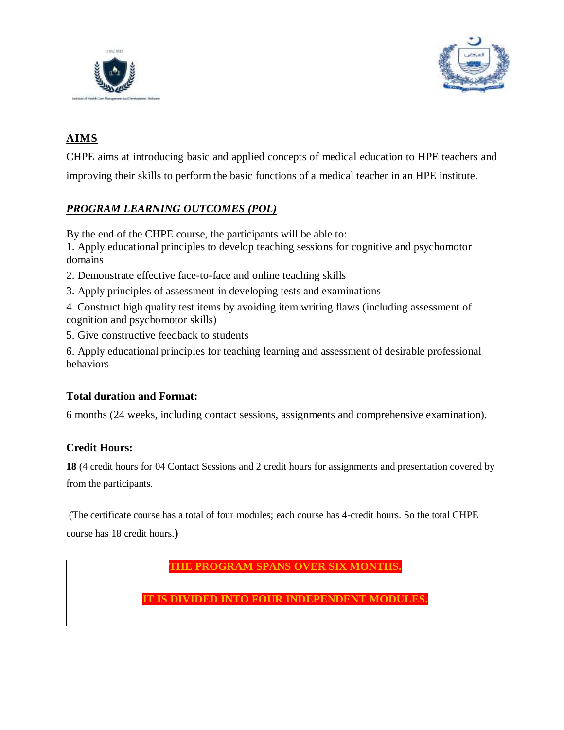



## **AIMS**

CHPE aims at introducing basic and applied concepts of medical education to HPE teachers and improving their skills to perform the basic functions of a medical teacher in an HPE institute.

## *PROGRAM LEARNING OUTCOMES (POL)*

By the end of the CHPE course, the participants will be able to:

1. Apply educational principles to develop teaching sessions for cognitive and psychomotor domains

- 2. Demonstrate effective face-to-face and online teaching skills
- 3. Apply principles of assessment in developing tests and examinations
- 4. Construct high quality test items by avoiding item writing flaws (including assessment of cognition and psychomotor skills)
- 5. Give constructive feedback to students

6. Apply educational principles for teaching learning and assessment of desirable professional behaviors

#### **Total duration and Format:**

6 months (24 weeks, including contact sessions, assignments and comprehensive examination).

#### **Credit Hours:**

**18** (4 credit hours for 04 Contact Sessions and 2 credit hours for assignments and presentation covered by from the participants.

(The certificate course has a total of four modules; each course has 4-credit hours. So the total CHPE course has 18 credit hours.**)**

**THE PROGRAM SPANS OVER SIX MONTHS.** 

**IT IS DIVIDED INTO FOUR INDEPENDENT MODULES.**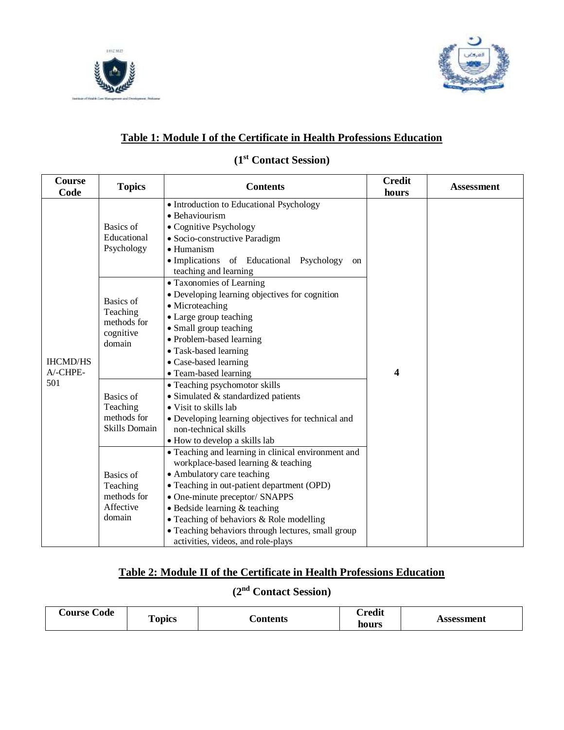



#### **Table 1: Module I of the Certificate in Health Professions Education**

#### **(1 st Contact Session)**

| <b>Course</b><br>Code              | <b>Topics</b>                                                       | <b>Contents</b>                                                                                                                                                                                                                                                                                                                                                                                   | <b>Credit</b><br>hours | <b>Assessment</b> |
|------------------------------------|---------------------------------------------------------------------|---------------------------------------------------------------------------------------------------------------------------------------------------------------------------------------------------------------------------------------------------------------------------------------------------------------------------------------------------------------------------------------------------|------------------------|-------------------|
| <b>IHCMD/HS</b><br>A/-CHPE-<br>501 | Basics of<br>Educational<br>Psychology                              | • Introduction to Educational Psychology<br>• Behaviourism<br>• Cognitive Psychology<br>• Socio-constructive Paradigm<br>$\bullet$ Humanism<br>· Implications of Educational Psychology<br>on<br>teaching and learning                                                                                                                                                                            |                        |                   |
|                                    | Basics of<br>Teaching<br>methods for<br>cognitive<br>domain         | • Taxonomies of Learning<br>• Developing learning objectives for cognition<br>• Microteaching<br>• Large group teaching<br>• Small group teaching<br>• Problem-based learning<br>• Task-based learning<br>• Case-based learning<br>• Team-based learning                                                                                                                                          | 4                      |                   |
|                                    | <b>Basics</b> of<br>Teaching<br>methods for<br><b>Skills Domain</b> | • Teaching psychomotor skills<br>• Simulated & standardized patients<br>• Visit to skills lab<br>• Developing learning objectives for technical and<br>non-technical skills<br>• How to develop a skills lab                                                                                                                                                                                      |                        |                   |
|                                    | Basics of<br>Teaching<br>methods for<br>Affective<br>domain         | • Teaching and learning in clinical environment and<br>workplace-based learning & teaching<br>• Ambulatory care teaching<br>• Teaching in out-patient department (OPD)<br>• One-minute preceptor/ SNAPPS<br>$\bullet$ Bedside learning & teaching<br>$\bullet$ Teaching of behaviors & Role modelling<br>• Teaching behaviors through lectures, small group<br>activities, videos, and role-plays |                        |                   |

#### **Table 2: Module II of the Certificate in Health Professions Education**

# **(2nd Contact Session)**

| ourse <b>'</b><br>Code | m<br>opics | <b>Contents</b> | $\mathbb C$ redit<br>hours | Assessment |
|------------------------|------------|-----------------|----------------------------|------------|
|------------------------|------------|-----------------|----------------------------|------------|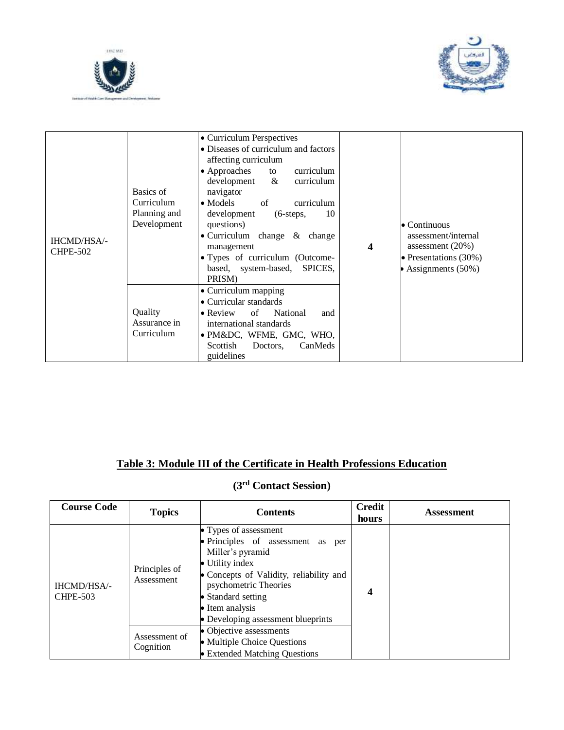



| IHCMD/HSA/-<br><b>CHPE-502</b> | Basics of<br>Curriculum<br>Planning and<br>Development | • Curriculum Perspectives<br>• Diseases of curriculum and factors<br>affecting curriculum<br>$\bullet$ Approaches<br>to<br>curriculum<br>$\&$<br>development<br>curriculum<br>navigator<br>$\bullet$ Models<br>of<br>curriculum<br>10<br>development<br>$(6\text{-steps},$<br>questions)<br>$\bullet$ Curriculum change & change<br>management<br>• Types of curriculum (Outcome-<br>based, system-based, SPICES,<br>PRISM) | $\overline{\mathbf{4}}$ | $\bullet$ Continuous<br>assessment/internal<br>assessment $(20%)$<br>• Presentations $(30\%)$<br>Assignments (50%) |
|--------------------------------|--------------------------------------------------------|-----------------------------------------------------------------------------------------------------------------------------------------------------------------------------------------------------------------------------------------------------------------------------------------------------------------------------------------------------------------------------------------------------------------------------|-------------------------|--------------------------------------------------------------------------------------------------------------------|
|                                | Quality<br>Assurance in<br>Curriculum                  | • Curriculum mapping<br>• Curricular standards<br>of<br>National<br>$\bullet$ Review<br>and<br>international standards<br>· PM&DC, WFME, GMC, WHO,<br>Scottish<br>CanMeds<br>Doctors.<br>guidelines                                                                                                                                                                                                                         |                         |                                                                                                                    |

# **Table 3: Module III of the Certificate in Health Professions Education**

# **(3rd Contact Session)**

| <b>Course Code</b>             | <b>Topics</b>               | <b>Contents</b>                                                                                                                                                                                                                                      | <b>Credit</b><br>hours | <b>Assessment</b> |
|--------------------------------|-----------------------------|------------------------------------------------------------------------------------------------------------------------------------------------------------------------------------------------------------------------------------------------------|------------------------|-------------------|
| IHCMD/HSA/-<br><b>CHPE-503</b> | Principles of<br>Assessment | • Types of assessment<br>• Principles of assessment as per<br>Miller's pyramid<br>• Utility index<br>• Concepts of Validity, reliability and<br>psychometric Theories<br>• Standard setting<br>• Item analysis<br>• Developing assessment blueprints | $\boldsymbol{4}$       |                   |
|                                | Assessment of<br>Cognition  | • Objective assessments<br>• Multiple Choice Questions<br>• Extended Matching Questions                                                                                                                                                              |                        |                   |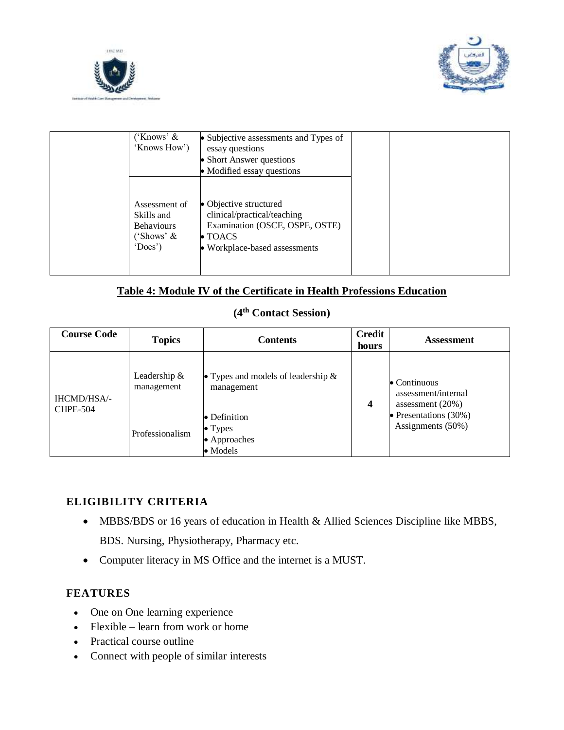



| ('Knows' $\&$<br>'Knows How')                                             | • Subjective assessments and Types of<br>essay questions<br>• Short Answer questions<br>• Modified essay questions                          |  |  |
|---------------------------------------------------------------------------|---------------------------------------------------------------------------------------------------------------------------------------------|--|--|
| Assessment of<br>Skills and<br><b>Behaviours</b><br>('Shows' &<br>'Does') | • Objective structured<br>clinical/practical/teaching<br>Examination (OSCE, OSPE, OSTE)<br>$\bullet$ TOACS<br>• Workplace-based assessments |  |  |

#### **Table 4: Module IV of the Certificate in Health Professions Education**

## **(4th Contact Session)**

| <b>Course Code</b>                    | <b>Topics</b>                | <b>Contents</b>                                          | <b>Credit</b><br>hours                                             | <b>Assessment</b>                             |
|---------------------------------------|------------------------------|----------------------------------------------------------|--------------------------------------------------------------------|-----------------------------------------------|
| <b>IHCMD/HSA/-</b><br><b>CHPE-504</b> | Leadership $&$<br>management | • Types and models of leadership $\&$<br>management<br>4 | $\bullet$ Continuous<br>assessment/internal<br>assessment $(20\%)$ |                                               |
|                                       | Professionalism              | • Definition<br>$\bullet$ Types<br>• Approaches          |                                                                    | • Presentations $(30\%)$<br>Assignments (50%) |
|                                       |                              | $\bullet$ Models                                         |                                                                    |                                               |

#### **ELIGIBILITY CRITERIA**

- MBBS/BDS or 16 years of education in Health & Allied Sciences Discipline like MBBS, BDS. Nursing, Physiotherapy, Pharmacy etc.
- Computer literacy in MS Office and the internet is a MUST.

#### **FEATURES**

- One on One learning experience
- $\bullet$  Flexible learn from work or home
- Practical course outline
- Connect with people of similar interests